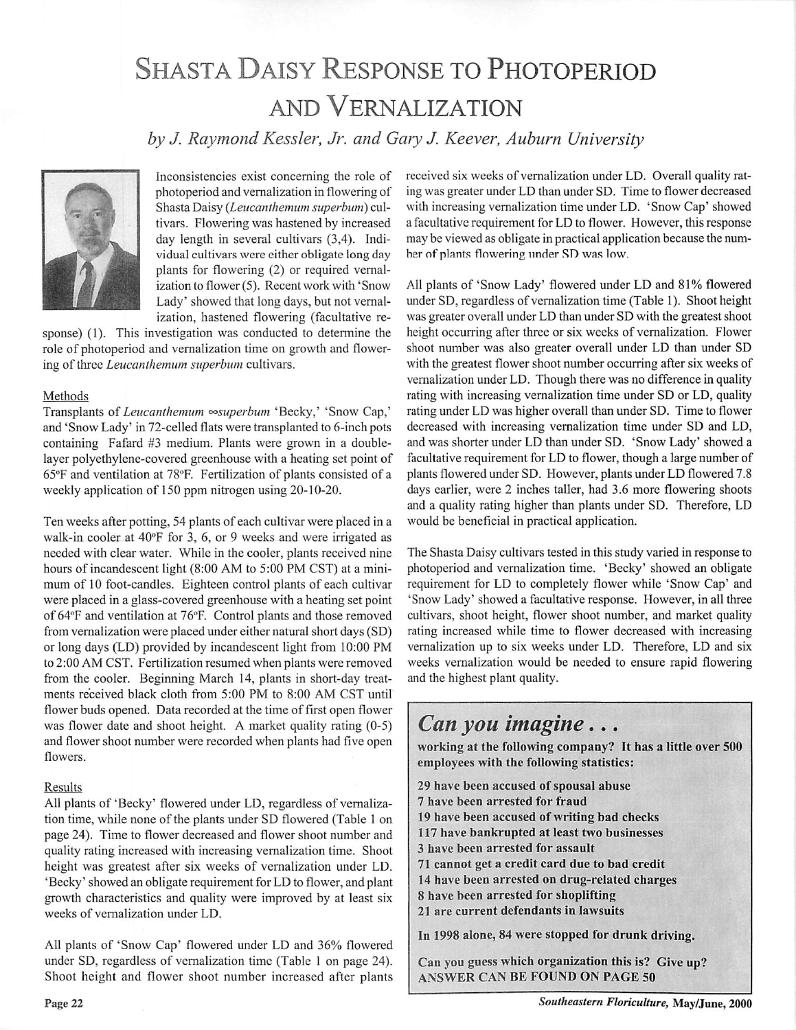## SHASTA DAISY RESPONSE TO PHOTOPERIOD and Vernalization

**by J. Raymond Kessler, Jr. and Gary J. Keever, Auburn University**



Inconsistencies exist concerning the role of photoperiod and vernalization in flowering of Shasta Daisy (Leucanthemum superbum) cultivars. Flowering was hastened by increased day length in several cultivars (3,4). Indi vidual cultivars were either obligate long day plants for flowering (2) or required vernal ization to flower (5). Recent work with 'Snow Lady' showed that long days, but not vernal ization, hastened flowering (facultative re

sponse) (1). This investigation was conducted to determine the role of photoperiod and vernalization time on growth and flower ing of three *Leucanthemum* superbum cultivars.

## Methods

Transplants of **Leucanthemum °°superbum** 'Becky,' 'Snow Cap,' and 'Snow Lady' in 72-celled flats were transplanted to 6-inch pots containing Fafard #3 medium. Plants were grown in a doublelayer polyethylene-covered greenhouse with a heating set point of 65°F and ventilation at 78°F. Fertilization of plants consisted of a weekly application of 150 ppm nitrogen using 20-10-20.

Ten weeks after potting, 54 plants of each cultivar were placed in a walk-in cooler at 40°F for 3, 6, or 9 weeks and were irrigated as needed with clear water. While in the cooler, plants received nine hours of incandescent light (8:00 AM to 5:00 PM CST) at a mini mum of 10 foot-candles. Eighteen control plants of each cultivar were placed in a glass-covered greenhouse with a heating set point of 64°F and ventilation at 76°F. Control plants and those removed from vernalization were placed under either natural short days (SD) or long days (LD) provided by incandescent light from 10:00 PM to 2:00 AM CST. Fertilization resumed when plants were removed from the cooler. Beginning March 14, plants in short-day treat ments received black cloth from 5:00 PM to 8:00 AM CST until flower buds opened. Data recorded at the time of first open flower was flower date and shoot height. A market quality rating (0-5) and flower shoot number were recorded when plants had five open flowers.

## Results

All plants of 'Becky' flowered under LD, regardless of vernalization time, while none of the plants under SD flowered (Table 1 on page 24). Time to flower decreased and flower shoot number and quality rating increased with increasing vernalization time. Shoot height was greatest after six weeks of vernalization under LD. 'Becky' showed an obligate requirement for LD to flower, and plant growth characteristics and quality were improved by at least six weeks of vernalization under LD.

All plants of 'Snow Cap' flowered under LD and 36% flowered under SD, regardless of vernalization time (Table 1 on page 24). Shoot height and flower shoot number increased after plants received six weeks of vernalization under LD. Overall quality rat ing was greater under LD than under SD. Time to flower decreased with increasing vernalization time under LD. 'Snow Cap' showed a facultative requirement for LD to flower. However, this response may be viewed as obligate in practical application because the num ber of plants flowering under SD was low.

All plants of 'Snow Lady' flowered under LD and 81% flowered under SD, regardless of vernalization time (Table 1). Shoot height was greater overall under LD than under SD with the greatest shoot height occurring after three or six weeks of vernalization. Flower shoot number was also greater overall under LD than under SD with the greatest flower shoot number occurring after six weeks of vernalization under LD. Though there was no difference in quality rating with increasing vernalization time under SD or LD, quality rating under LD was higher overall than under SD. Time to flower decreased with increasing vernalization time under SD and LD, and was shorter under LD than under SD. 'Snow Lady' showed a facultative requirement for LD to flower, though a large number of plants flowered under SD. However, plants under LD flowered 7.8 days earlier, were 2 inches taller, had 3.6 more flowering shoots and a quality rating higher than plants under SD. Therefore, LD would be beneficial in practical application.

The Shasta Daisy cultivars tested in this study varied in response to photoperiod and vernalization time. 'Becky' showed an obligate requirement for LD to completely flower while 'Snow Cap' and 'Snow Lady' showed a facultative response. However, in all three cultivars, shoot height, flower shoot number, and market quality rating increased while time to flower decreased with increasing vernalization up to six weeks under LD. Therefore, LD and six weeks vernalization would be needed to ensure rapid flowering and the highest plant quality.

## **Can you imagine...**

*working at the following company? It has a little over 500 employees with the following statistics:*

 *have been accused ofspousal abuse have been arrested for fraud have been accused ofwriting bad checks have bankrupted at least two businesses have been arrested for assault cannot get a credit card due to bad credit have been arrested on drug-related charges have been arrested for shoplifting are current defendants in lawsuits*

*In 1998 alone, 84 were stopped for drunk driving.*

*Can you guess which organization this is? Give up? ANSWER CAN BE FOUND ON PAGE 50*